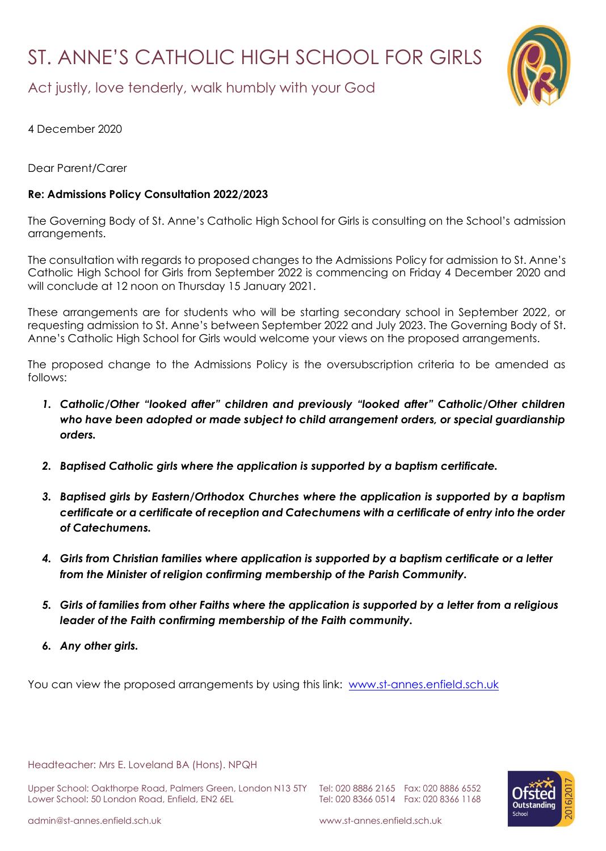## ST. ANNE'S CATHOLIC HIGH SCHOOL FOR GIRLS



Act justly, love tenderly, walk humbly with your God

4 December 2020

Dear Parent/Carer

## **Re: Admissions Policy Consultation 2022/2023**

The Governing Body of St. Anne's Catholic High School for Girls is consulting on the School's admission arrangements.

The consultation with regards to proposed changes to the Admissions Policy for admission to St. Anne's Catholic High School for Girls from September 2022 is commencing on Friday 4 December 2020 and will conclude at 12 noon on Thursday 15 January 2021.

These arrangements are for students who will be starting secondary school in September 2022, or requesting admission to St. Anne's between September 2022 and July 2023. The Governing Body of St. Anne's Catholic High School for Girls would welcome your views on the proposed arrangements.

The proposed change to the Admissions Policy is the oversubscription criteria to be amended as follows:

- *1. Catholic/Other "looked after" children and previously "looked after" Catholic/Other children who have been adopted or made subject to child arrangement orders, or special guardianship orders.*
- *2. Baptised Catholic girls where the application is supported by a baptism certificate.*
- *3. Baptised girls by Eastern/Orthodox Churches where the application is supported by a baptism certificate or a certificate of reception and Catechumens with a certificate of entry into the order of Catechumens.*
- *4. Girls from Christian families where application is supported by a baptism certificate or a letter from the Minister of religion confirming membership of the Parish Community.*
- *5. Girls of families from other Faiths where the application is supported by a letter from a religious leader of the Faith confirming membership of the Faith community.*
- *6. Any other girls.*

You can view the proposed arrangements by using this link: [www.st-annes.enfield.sch.uk](http://www.st-annes.enfield.sch.uk/)

Headteacher: Mrs E. Loveland BA (Hons). NPQH

Upper School: Oakthorpe Road, Palmers Green, London N13 5TY Tel: 020 8886 2165 Fax: 020 8886 6552 Lower School: 50 London Road, Enfield, EN2 6EL Tel: 020 8366 0514 Fax: 020 8366 1168